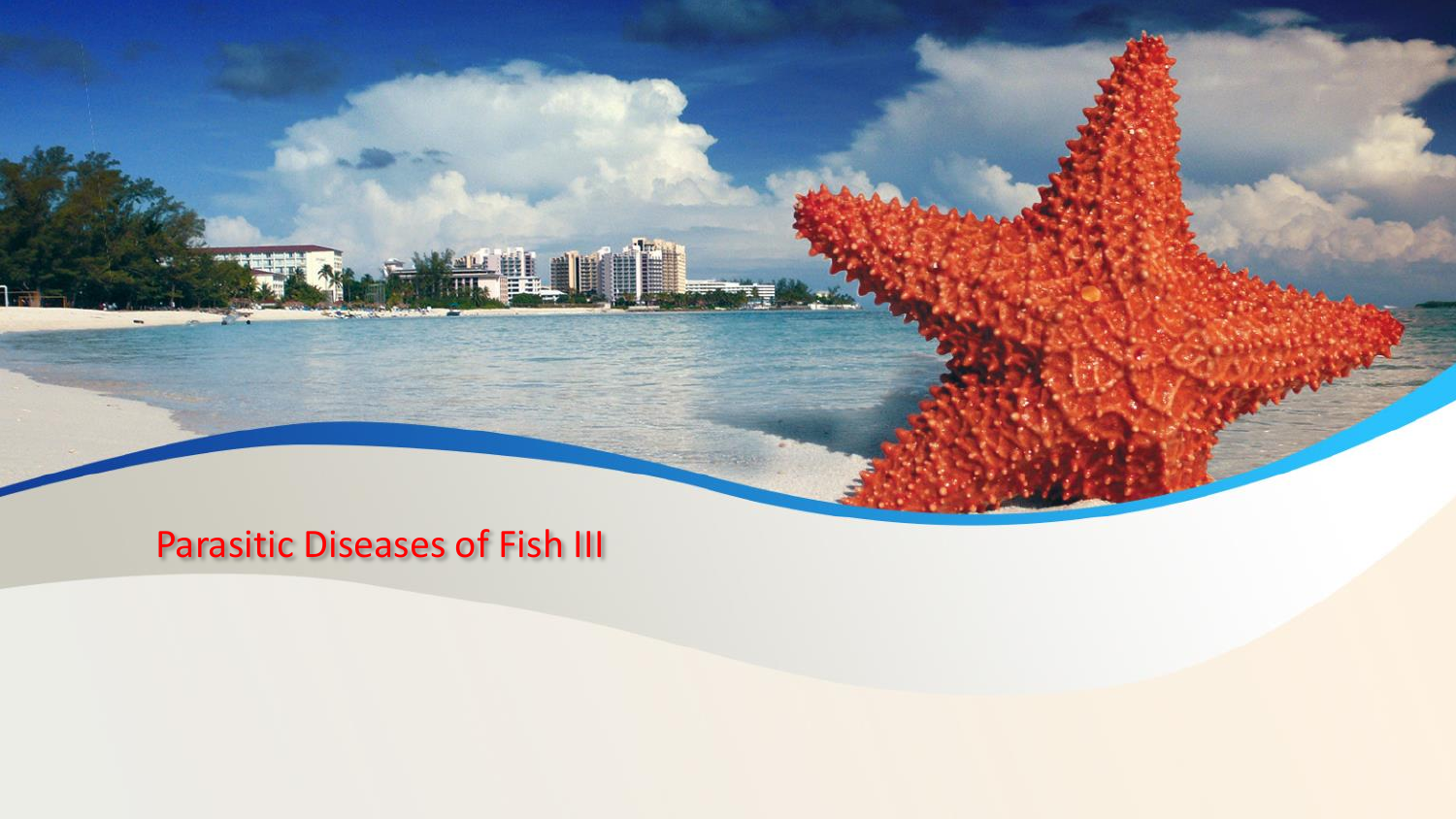Parasitic Diseases of Fish III

**THE THE SEA**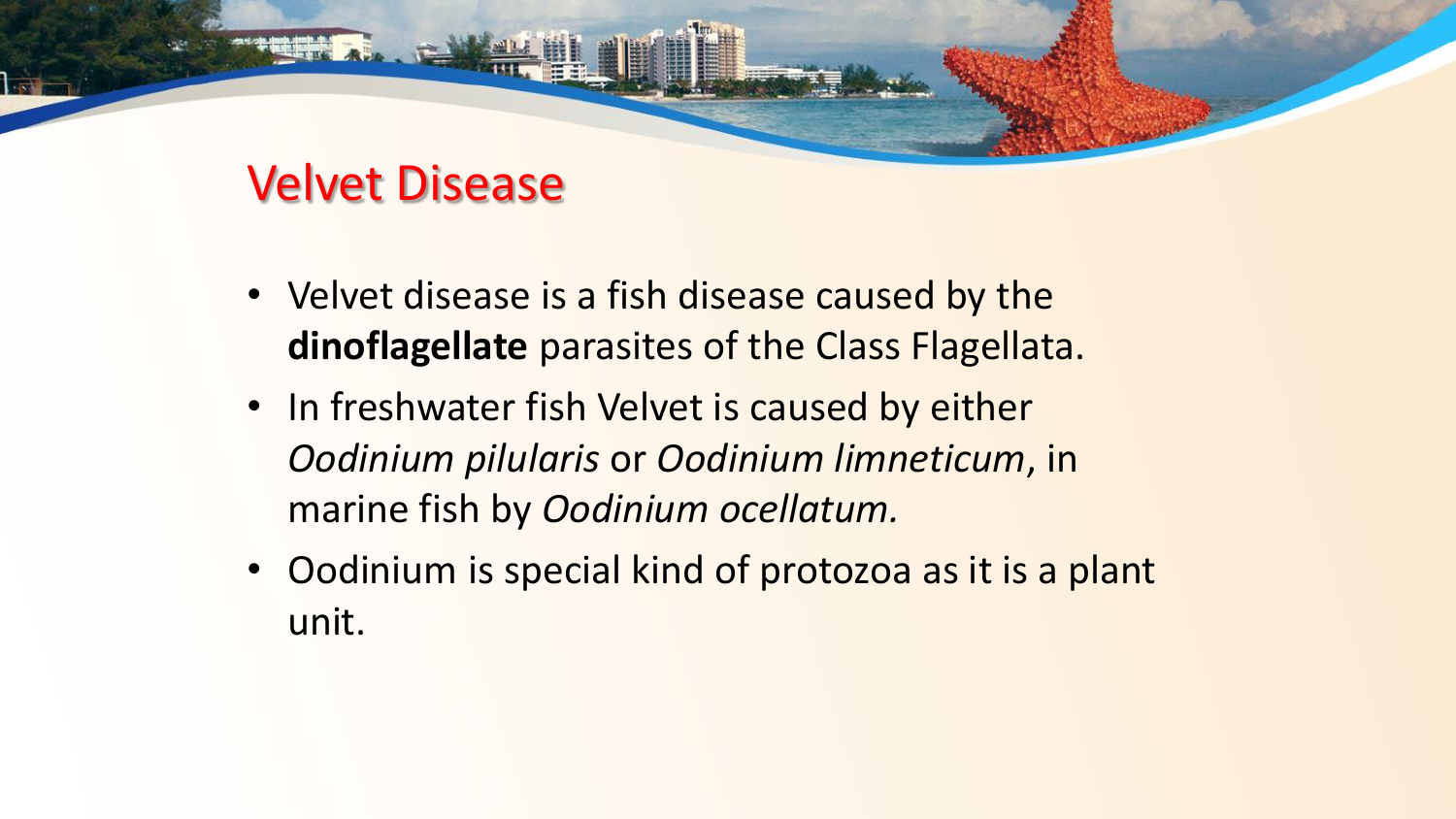#### Velvet Disease

- Velvet disease is a fish disease caused by the **dinoflagellate** parasites of the Class Flagellata.
- In freshwater fish Velvet is caused by either *Oodinium pilularis* or *Oodinium limneticum*, in marine fish by *Oodinium ocellatum.*
- Oodinium is special kind of protozoa as it is a plant unit.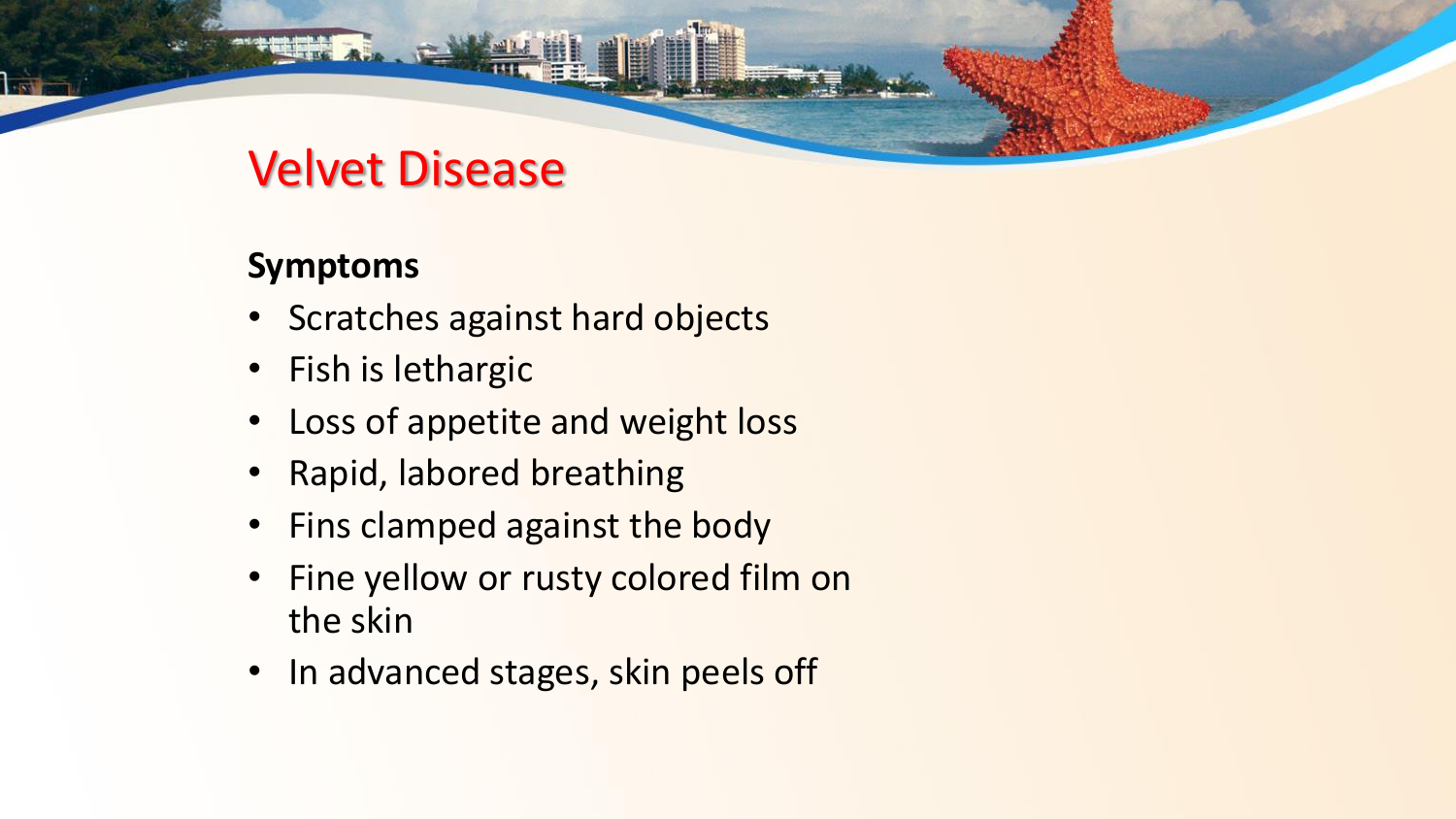#### Velvet Disease

#### **Symptoms**

- Scratches against hard objects
- Fish is lethargic
- Loss of appetite and weight loss
- Rapid, labored breathing
- Fins clamped against the body
- Fine yellow or rusty colored film on the skin
- In advanced stages, skin peels off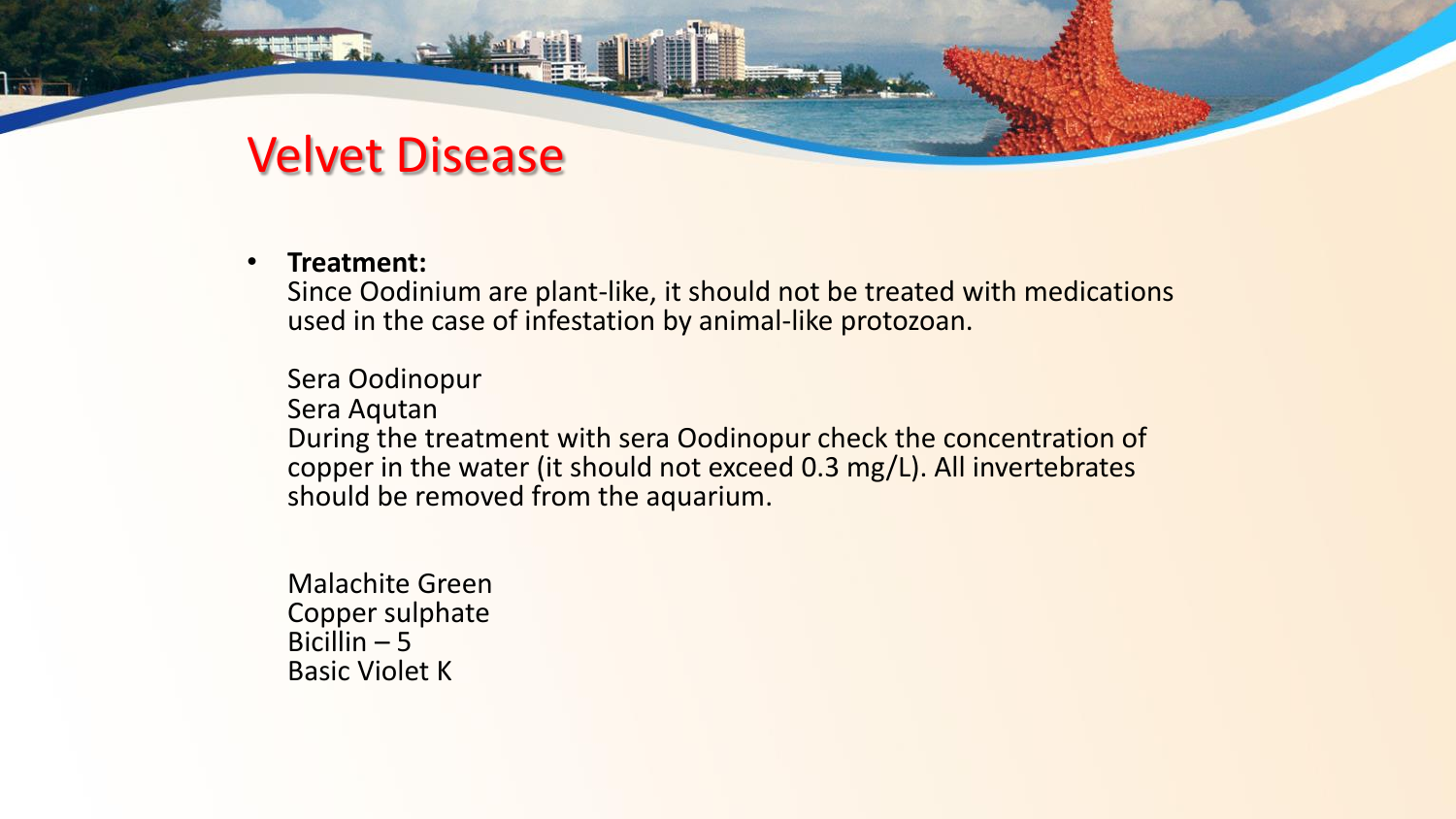#### Velvet Disease

#### • **Treatment:**

Since Oodinium are plant-like, it should not be treated with medications used in the case of infestation by animal-like protozoan.

Sera Oodinopur Sera Aqutan During the treatment with sera Oodinopur check the concentration of copper in the water (it should not exceed 0.3 mg/L). All invertebrates should be removed from the aquarium.

Malachite Green Copper sulphate Bicillin  $-5$ Basic Violet K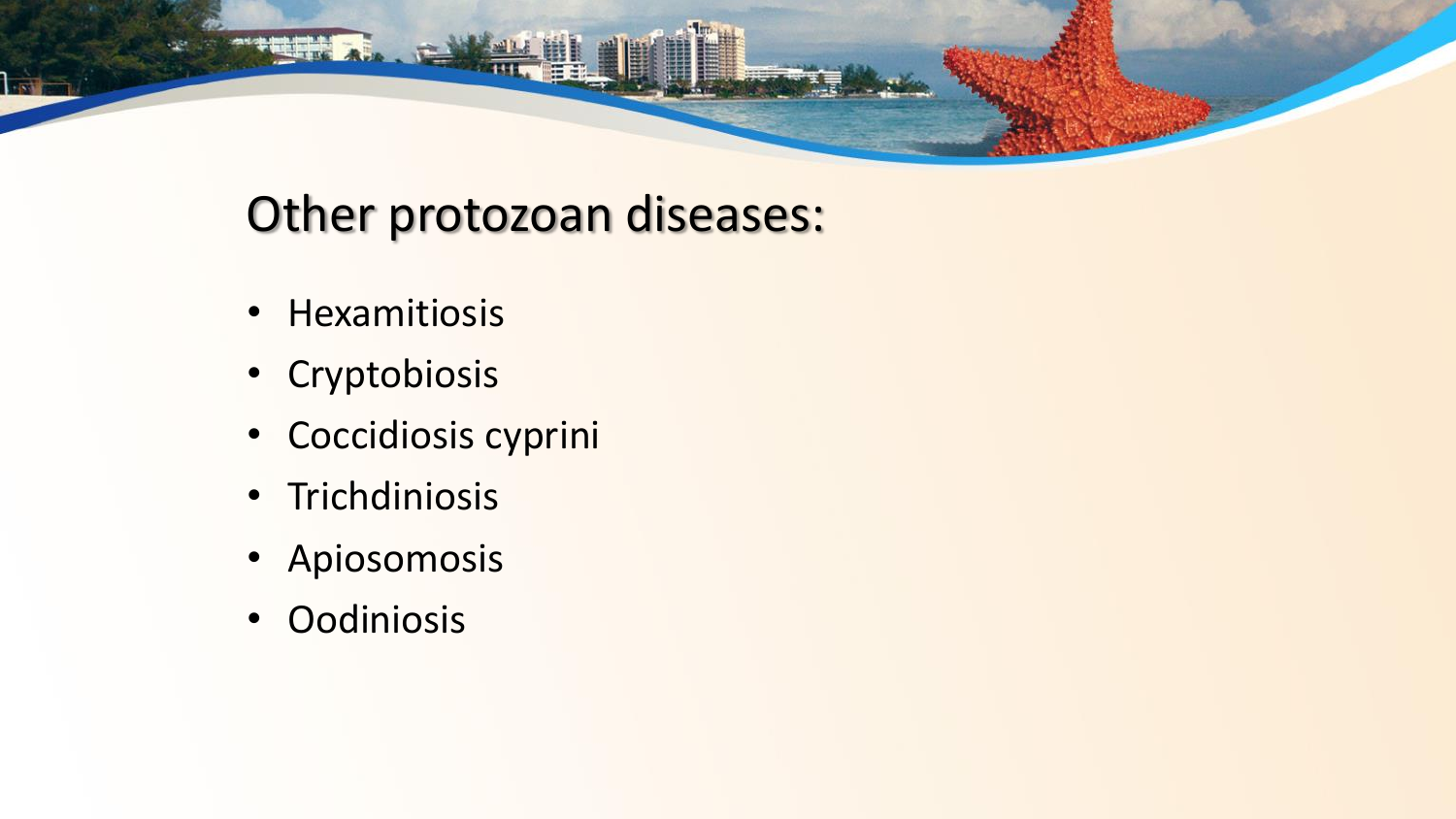## Other protozoan diseases:

- Hexamitiosis
- Cryptobiosis
- Coccidiosis cyprini
- Trichdiniosis
- Apiosomosis
- Oodiniosis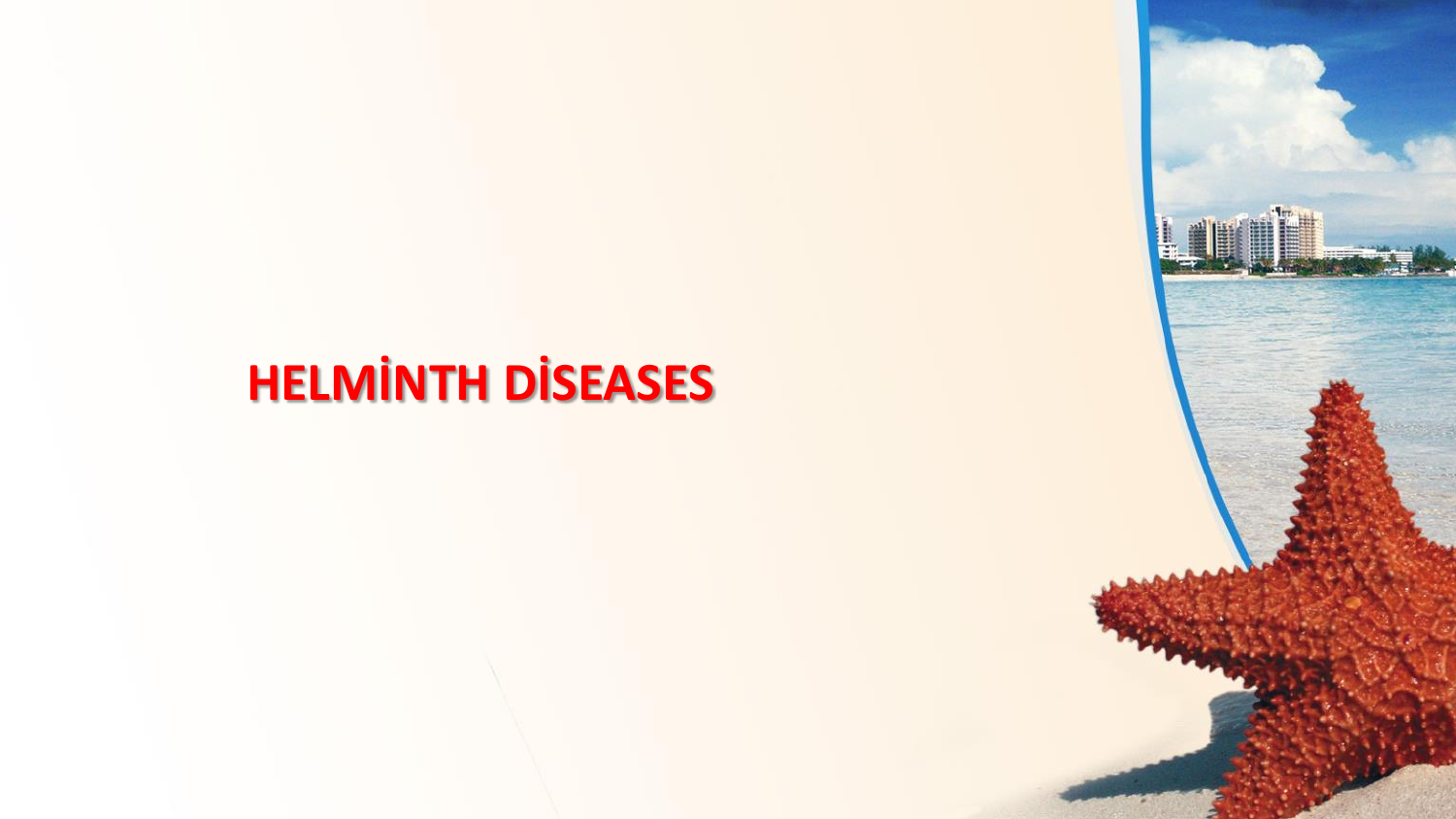# **HELMİNTH DİSEASES**

H.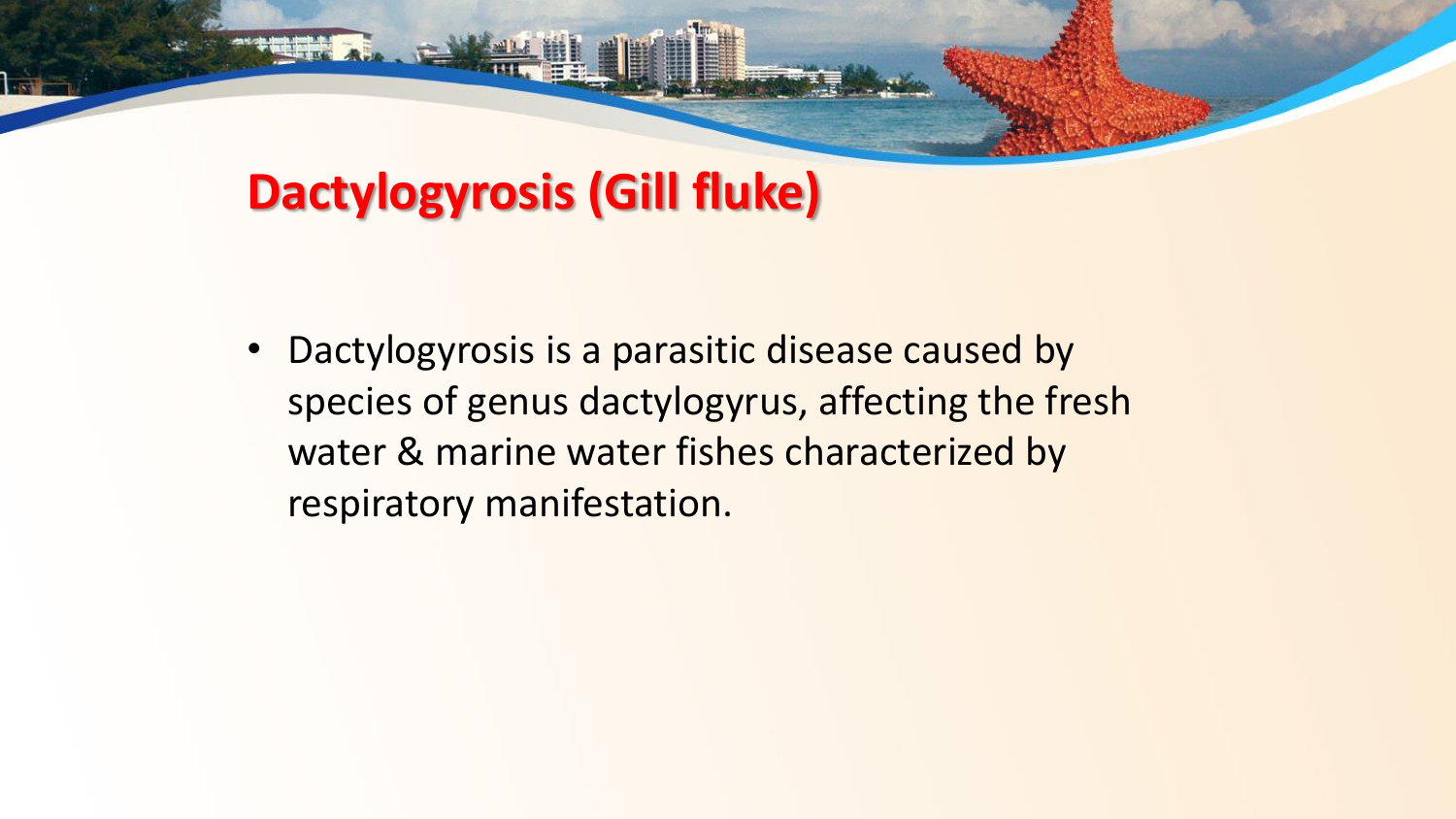#### **Dactylogyrosis (Gill fluke)**

• Dactylogyrosis is a parasitic disease caused by species of genus dactylogyrus, affecting the fresh water & marine water fishes characterized by respiratory manifestation.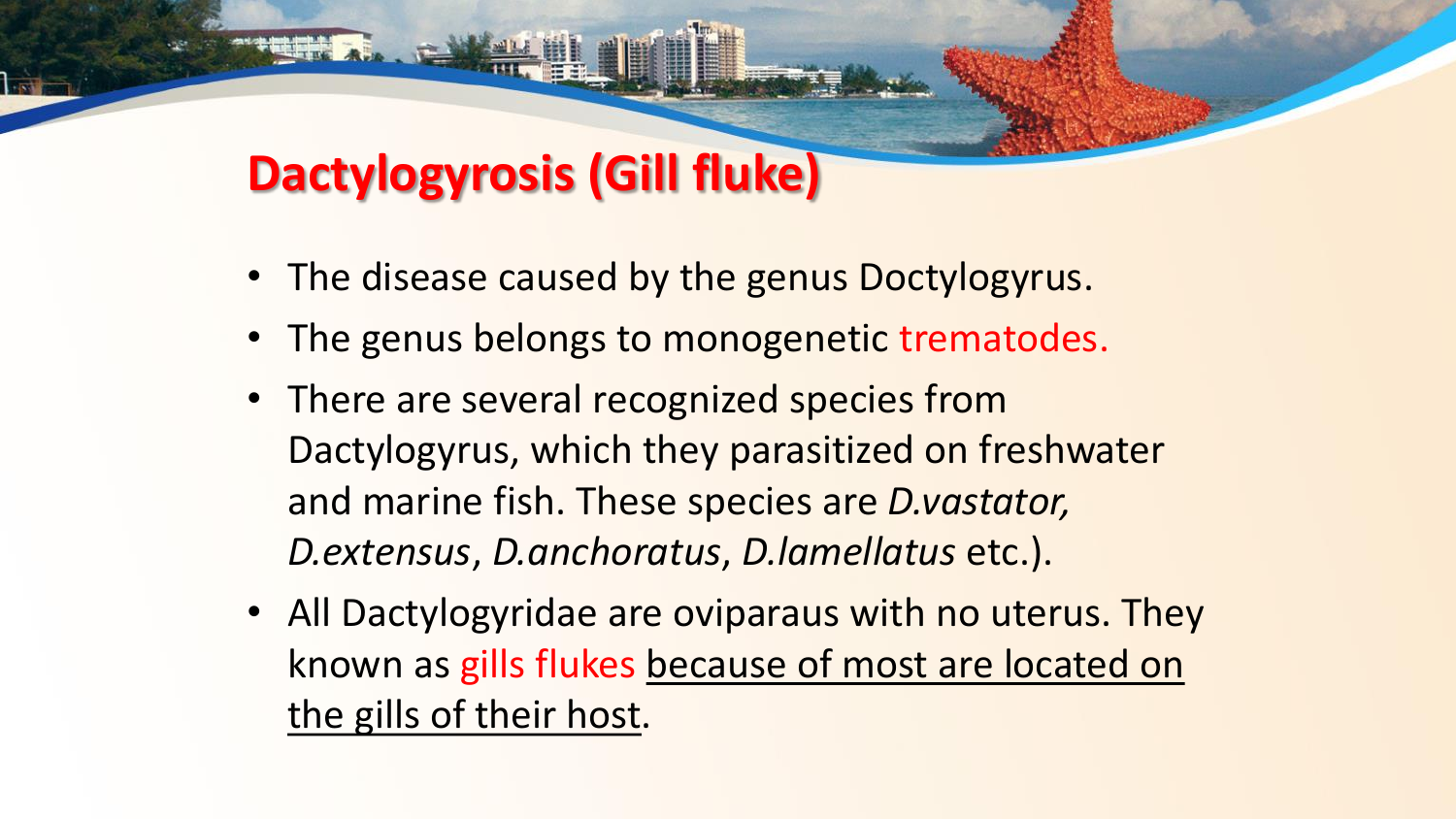#### **Dactylogyrosis (Gill fluke)**

- The disease caused by the genus Doctylogyrus.
- The genus belongs to monogenetic trematodes.
- There are several recognized species from Dactylogyrus, which they parasitized on freshwater and marine fish. These species are *D.vastator, D.extensus*, *D.anchoratus*, *D.lamellatus* etc.).
- All Dactylogyridae are oviparaus with no uterus. They known as gills flukes because of most are located on the gills of their host.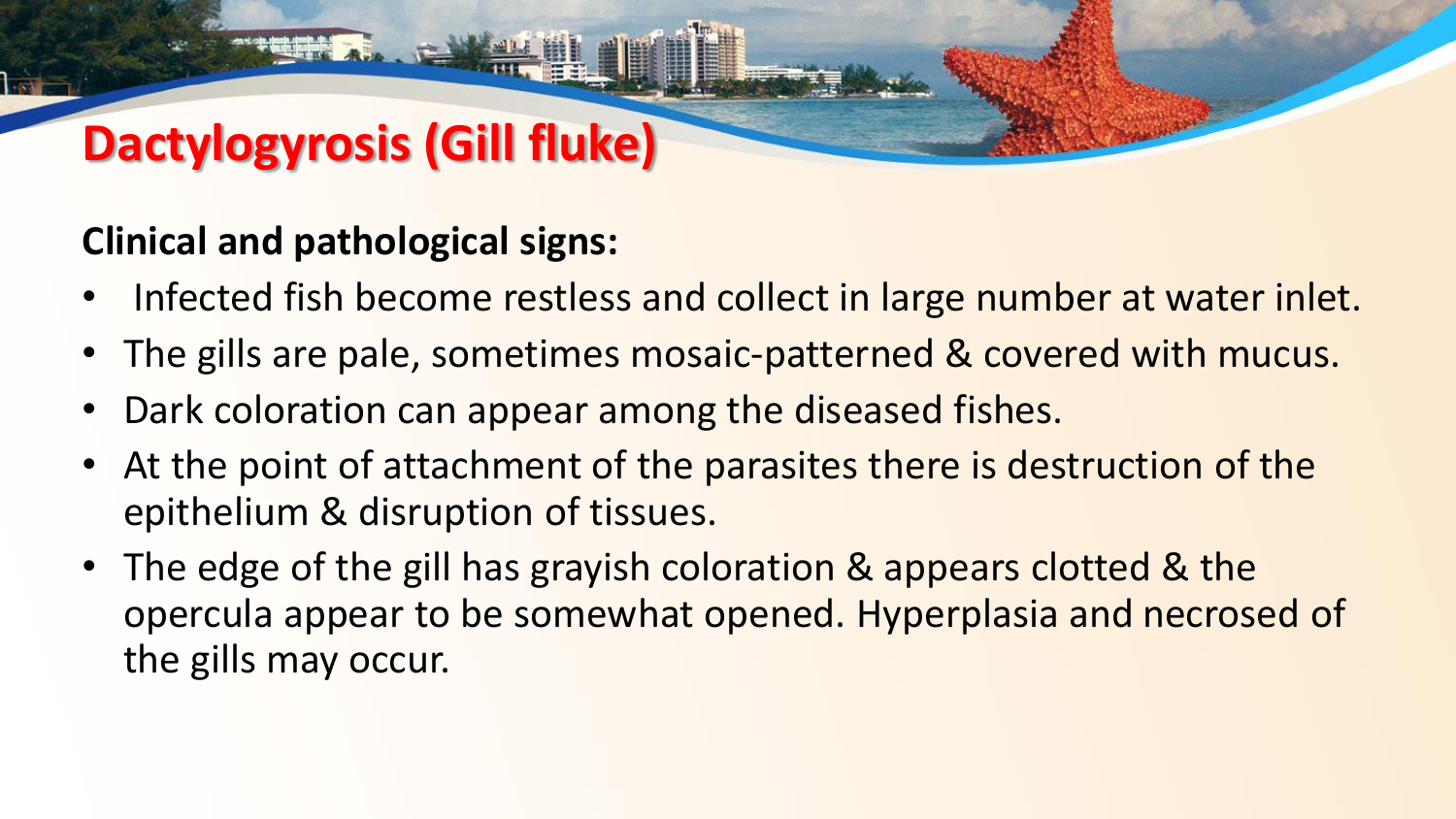# **Dactylogyrosis (Gill fluke)**

#### **Clinical and pathological signs:**

- Infected fish become restless and collect in large number at water inlet.
- The gills are pale, sometimes mosaic-patterned & covered with mucus.
- Dark coloration can appear among the diseased fishes.
- At the point of attachment of the parasites there is destruction of the epithelium & disruption of tissues.
- The edge of the gill has grayish coloration & appears clotted & the opercula appear to be somewhat opened. Hyperplasia and necrosed of the gills may occur.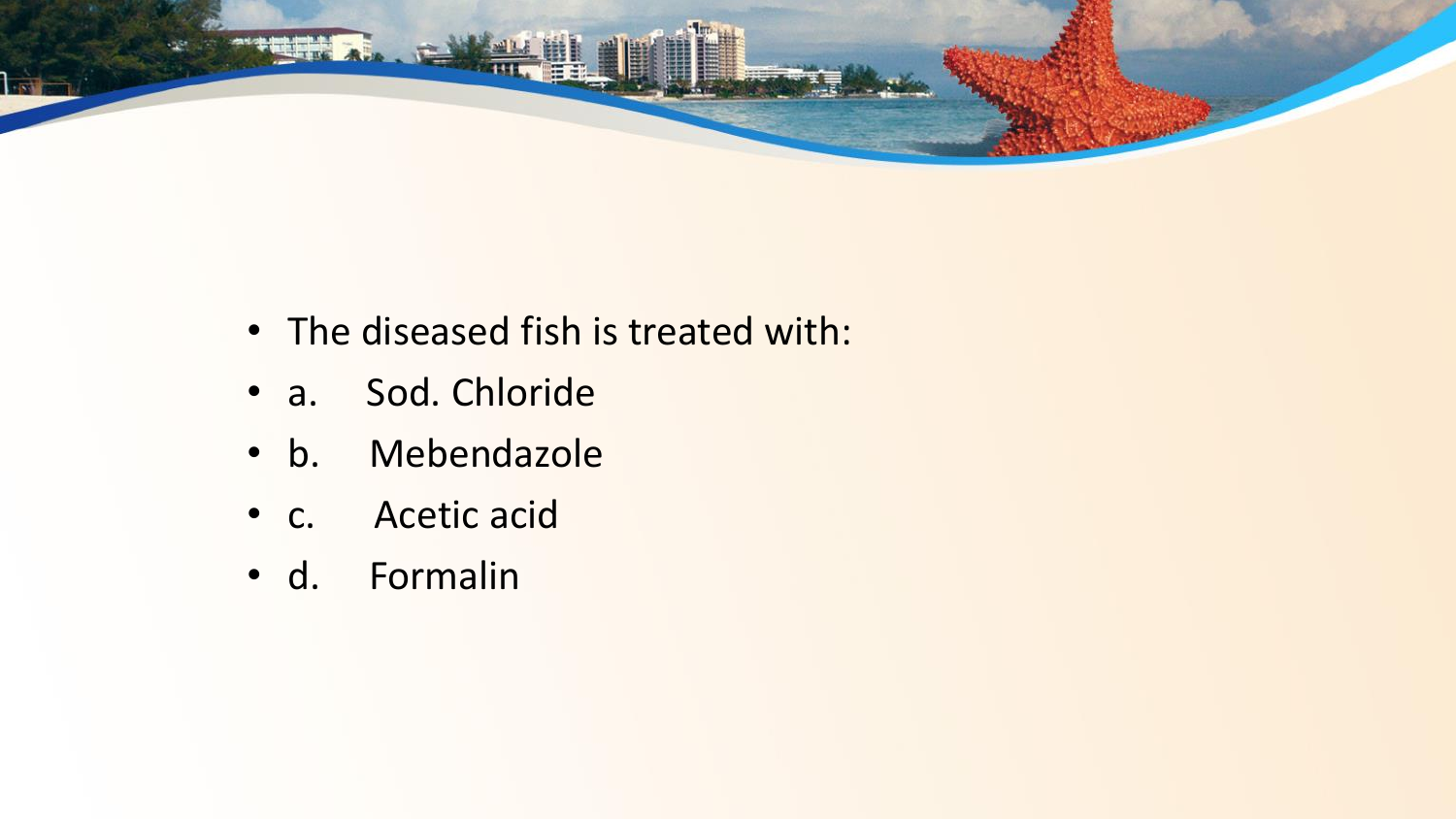

- The diseased fish is treated with:
- a. Sod. Chloride
- b. Mebendazole
- c. Acetic acid
- d. Formalin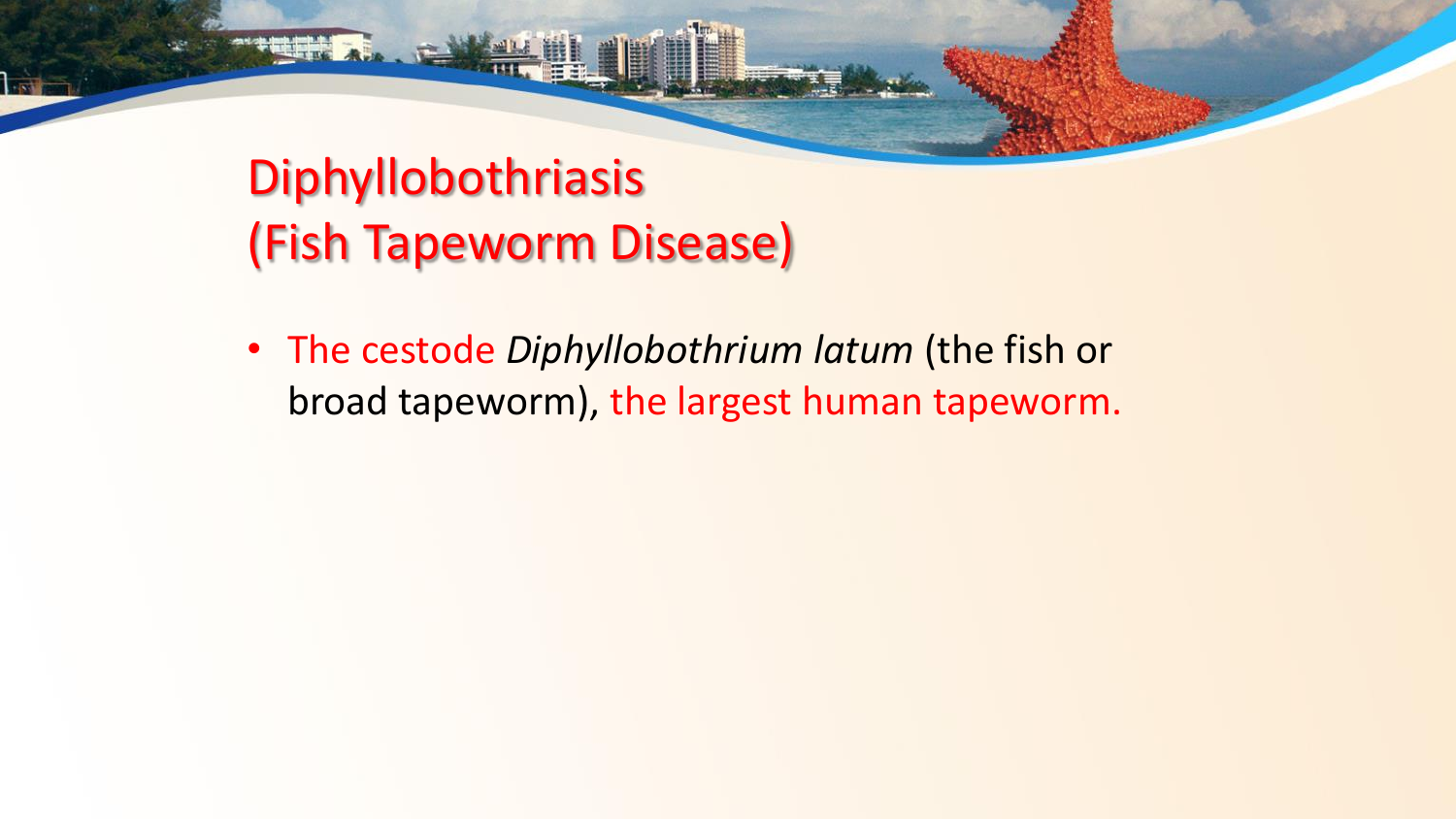# Diphyllobothriasis (Fish Tapeworm Disease)

• The cestode *Diphyllobothrium latum* (the fish or broad tapeworm), the largest human tapeworm.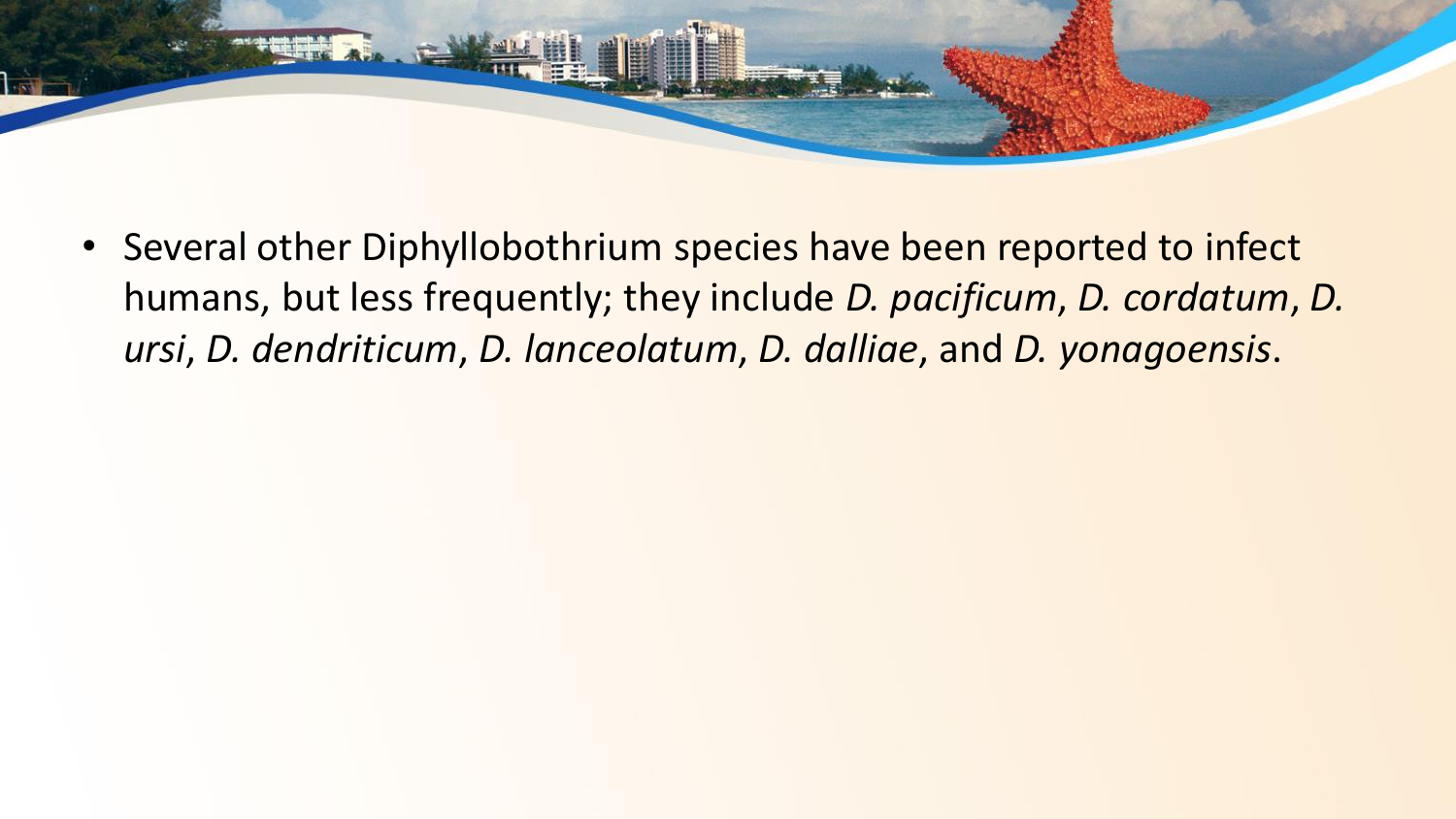

• Several other Diphyllobothrium species have been reported to infect humans, but less frequently; they include *D. pacificum*, *D. cordatum*, *D. ursi*, *D. dendriticum*, *D. lanceolatum*, *D. dalliae*, and *D. yonagoensis*.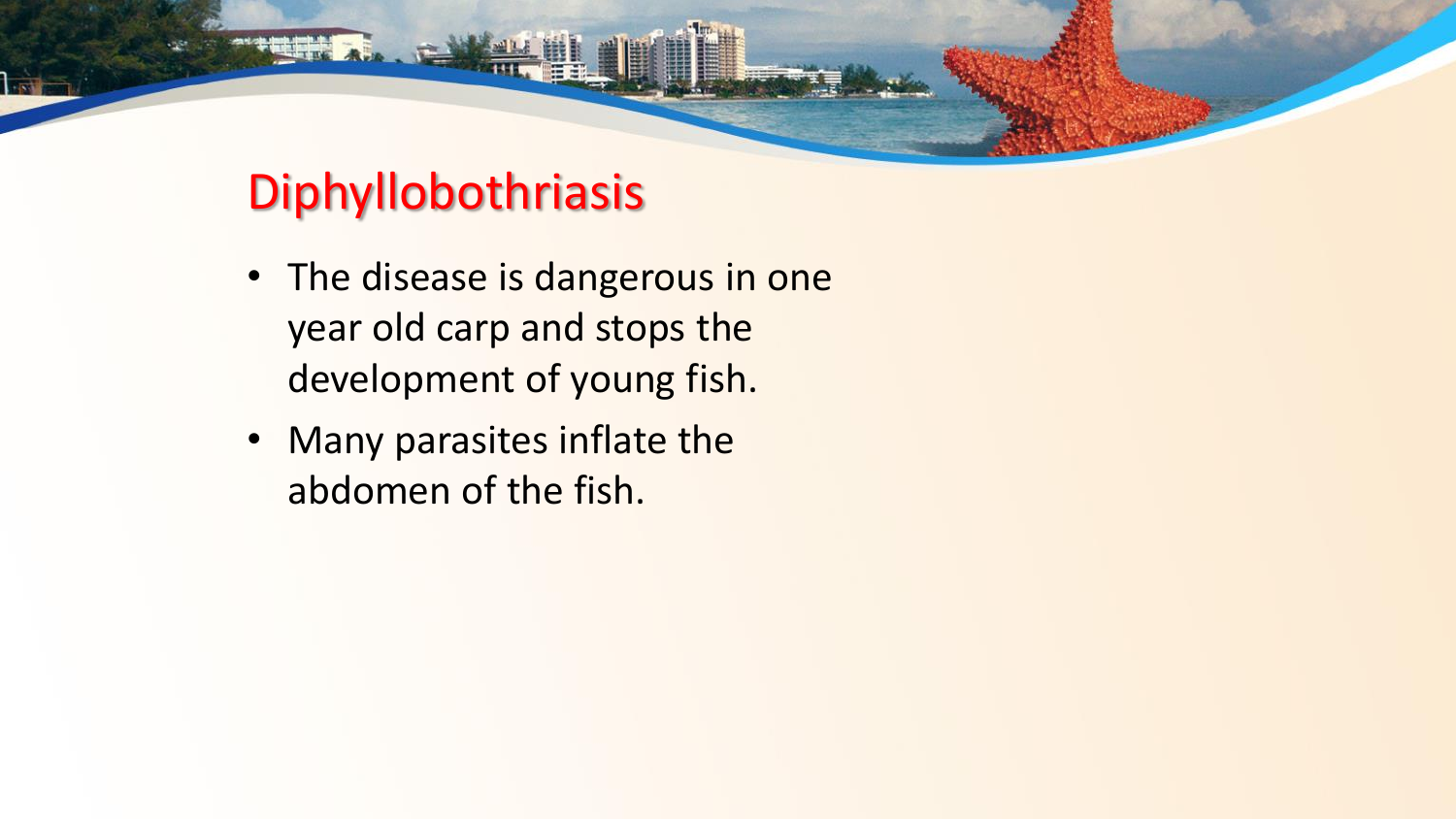#### Diphyllobothriasis

- The disease is dangerous in one year old carp and stops the development of young fish.
- Many parasites inflate the abdomen of the fish.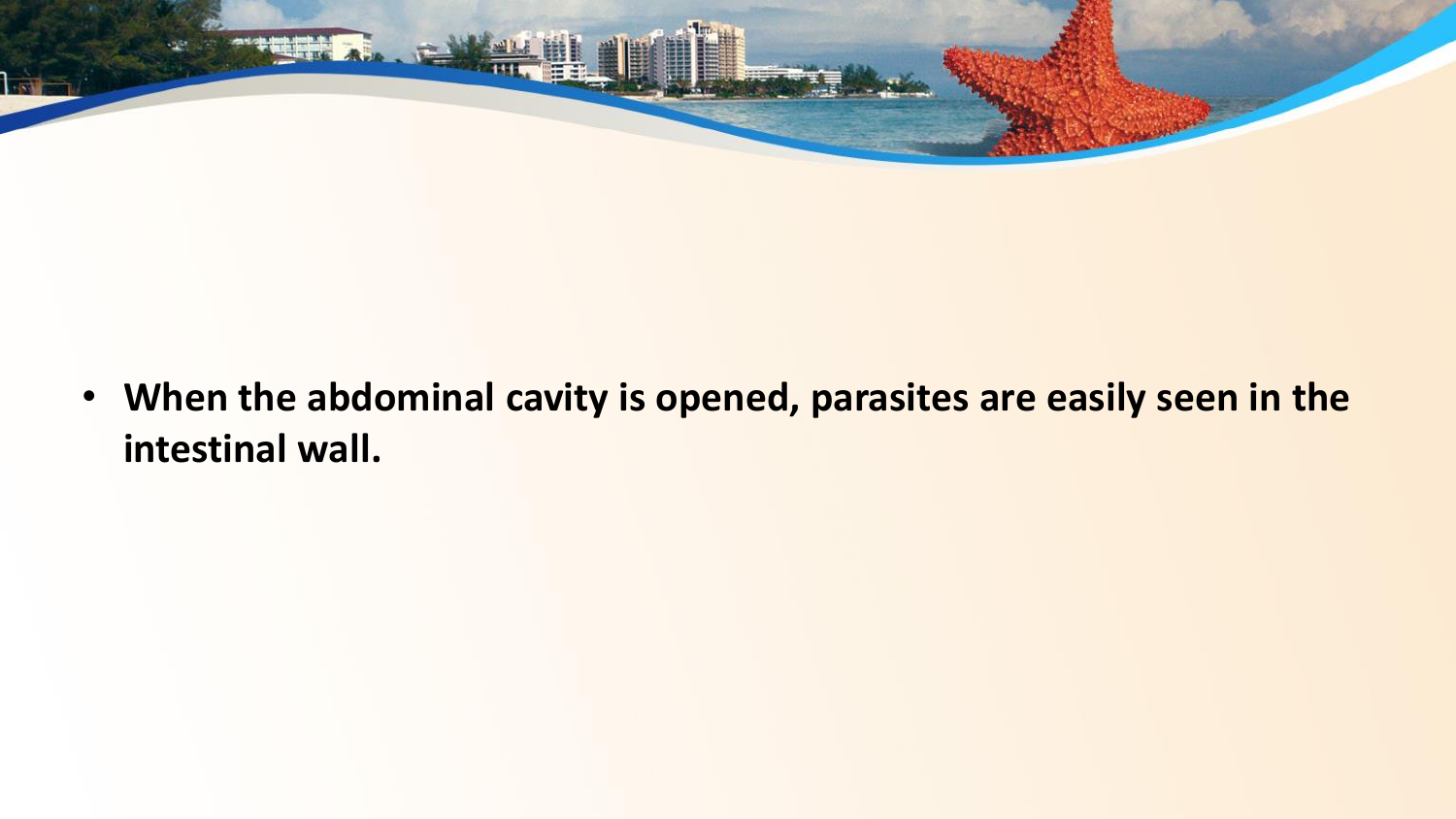

• **When the abdominal cavity is opened, parasites are easily seen in the intestinal wall.**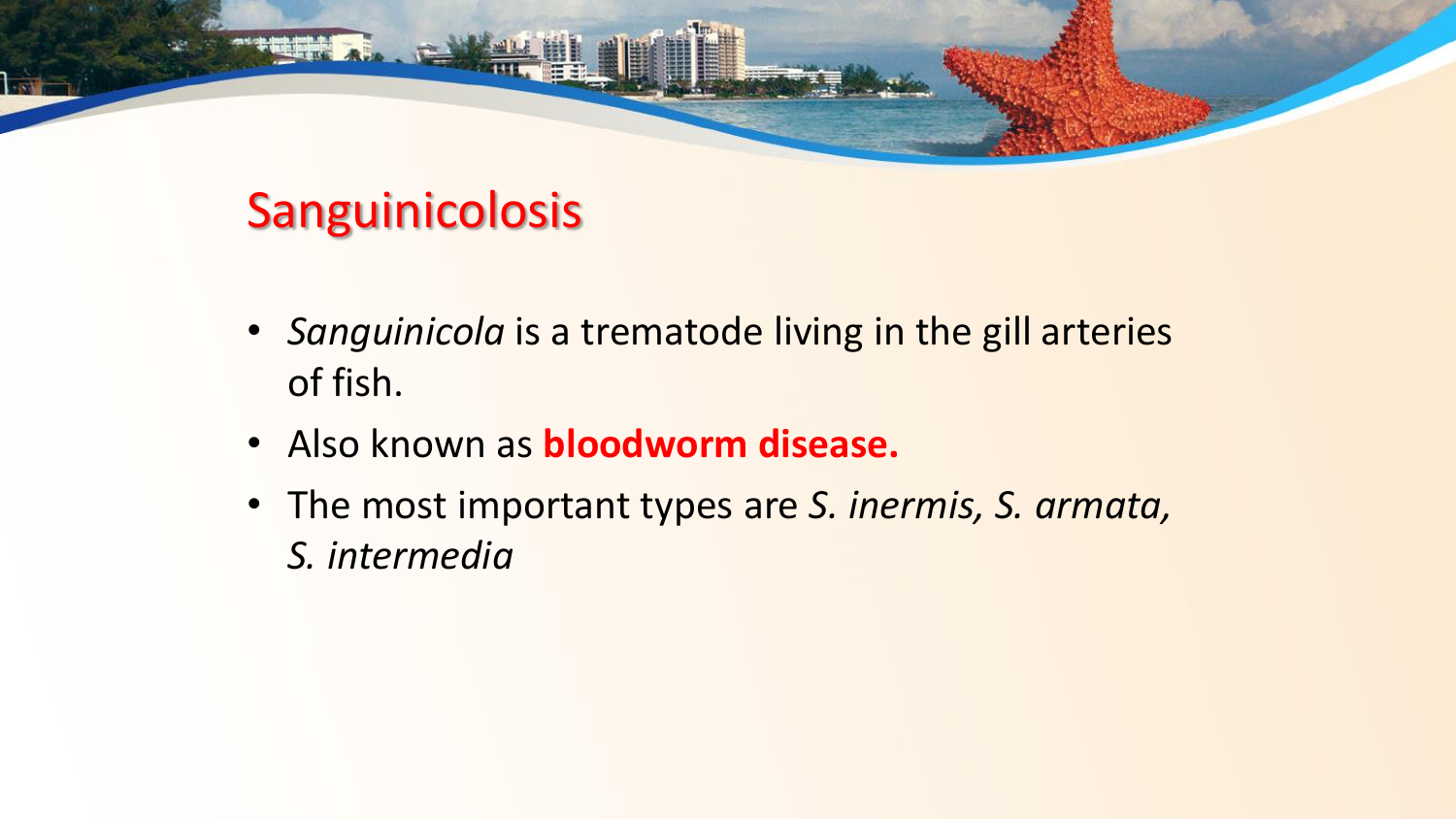## Sanguinicolosis

- *Sanguinicola* is a trematode living in the gill arteries of fish.
- Also known as **bloodworm disease.**
- The most important types are *S. inermis, S. armata, S. intermedia*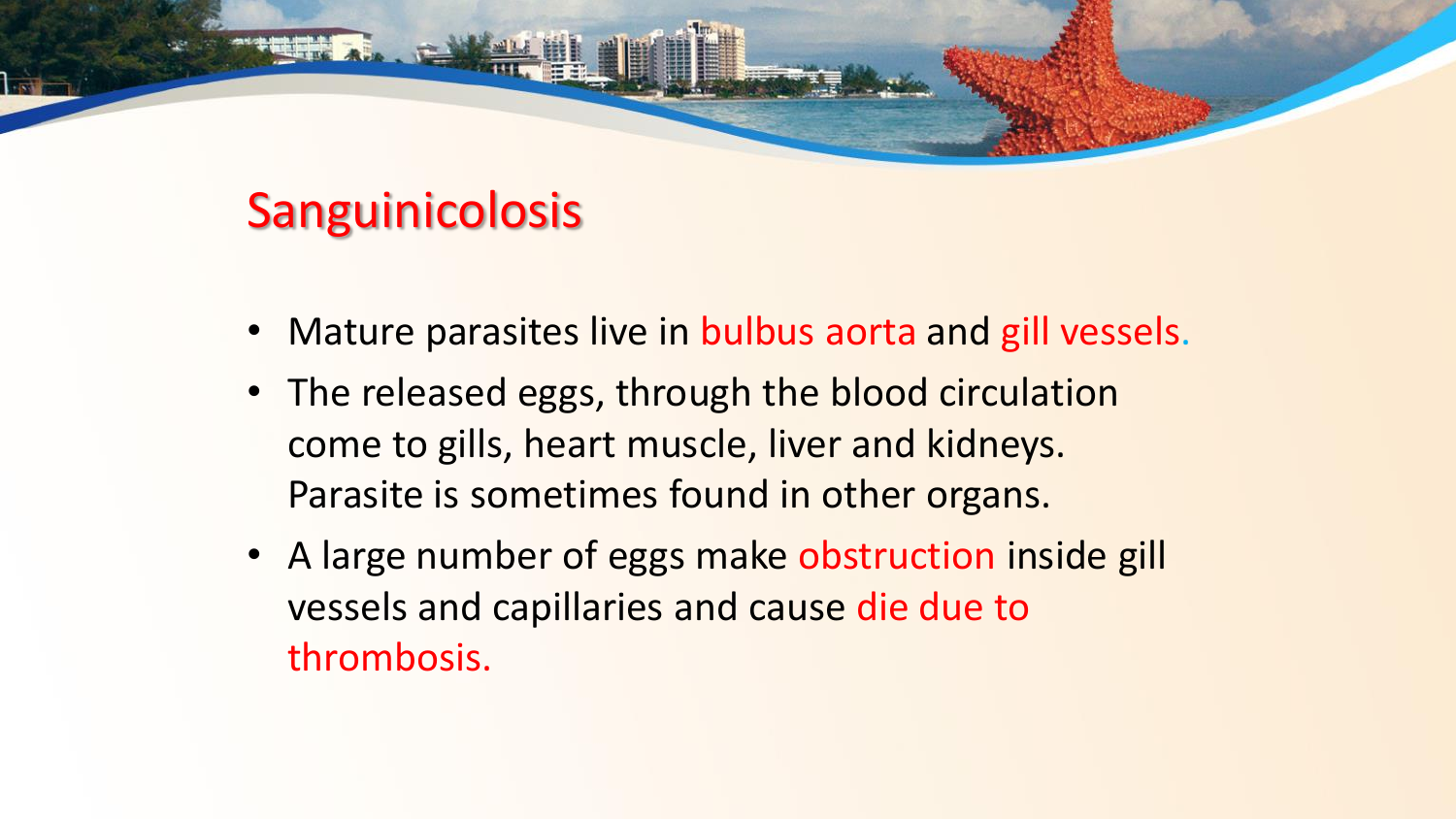#### Sanguinicolosis

- Mature parasites live in bulbus aorta and gill vessels.
- The released eggs, through the blood circulation come to gills, heart muscle, liver and kidneys. Parasite is sometimes found in other organs.
- A large number of eggs make obstruction inside gill vessels and capillaries and cause die due to thrombosis.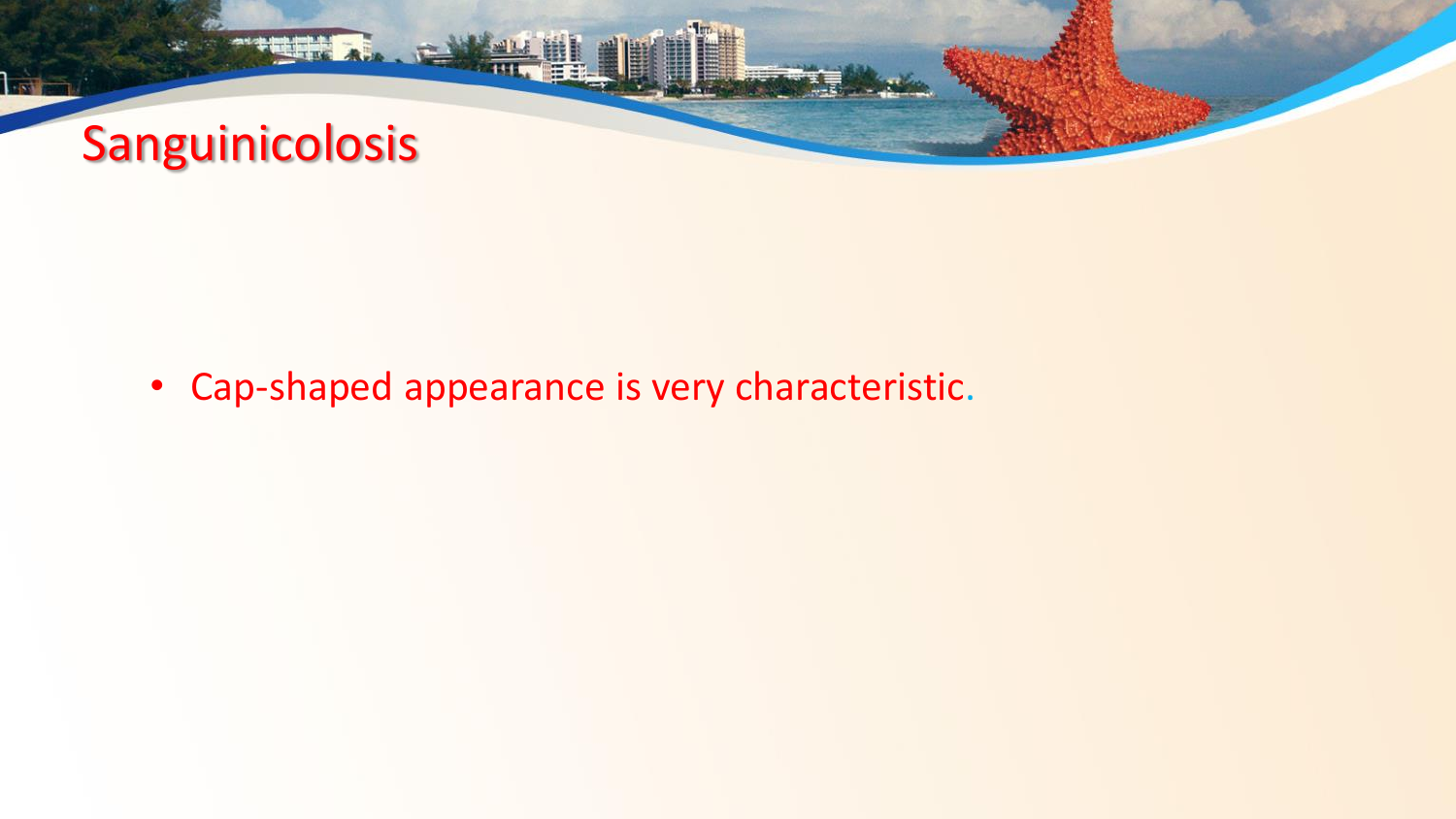

• Cap-shaped appearance is very characteristic.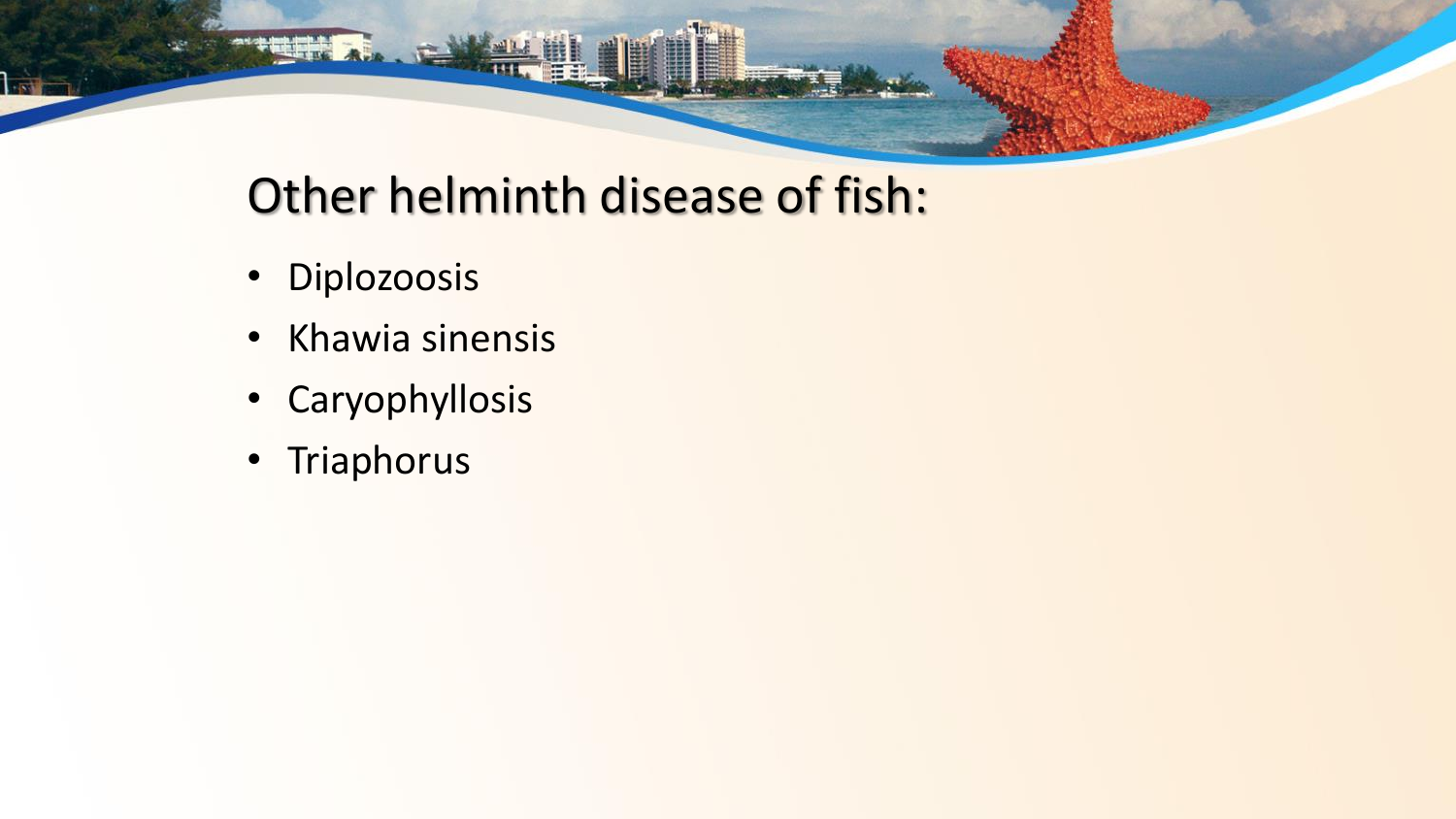## Other helminth disease of fish:

- Diplozoosis
- Khawia sinensis

 $\overline{\phantom{a}}$ 

- Caryophyllosis
- Triaphorus